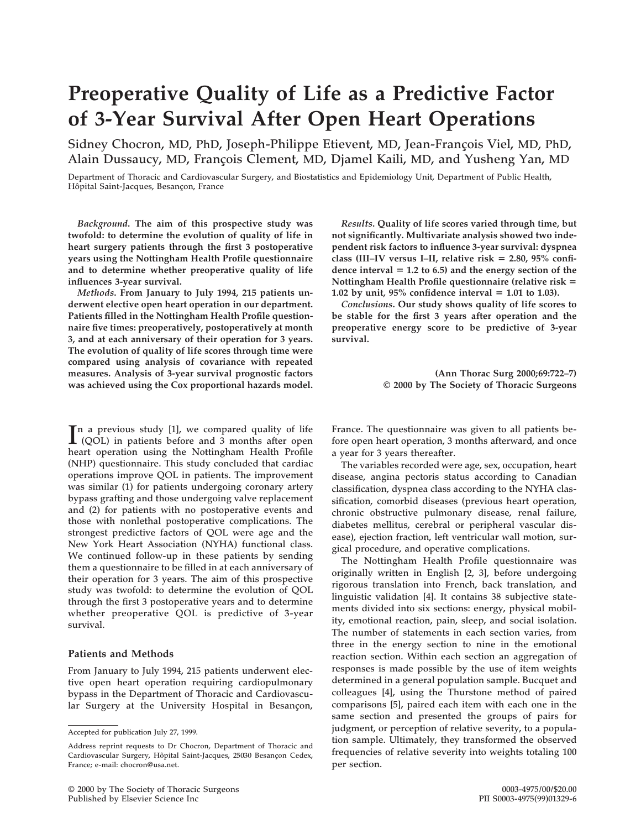# **Preoperative Quality of Life as a Predictive Factor of 3-Year Survival After Open Heart Operations**

Sidney Chocron, MD, PhD, Joseph-Philippe Etievent, MD, Jean-François Viel, MD, PhD, Alain Dussaucy, MD, François Clement, MD, Djamel Kaili, MD, and Yusheng Yan, MD

**Department of Thoracic and Cardiovascular Surgery, and Biostatistics and Epidemiology Unit, Department of Public Health,** Hôpital Saint-Jacques, Besançon, France

*Background***. The aim of this prospective study was twofold: to determine the evolution of quality of life in heart surgery patients through the first 3 postoperative years using the Nottingham Health Profile questionnaire and to determine whether preoperative quality of life influences 3-year survival.**

*Methods***. From January to July 1994, 215 patients underwent elective open heart operation in our department. Patients filled in the Nottingham Health Profile questionnaire five times: preoperatively, postoperatively at month 3, and at each anniversary of their operation for 3 years. The evolution of quality of life scores through time were compared using analysis of covariance with repeated measures. Analysis of 3-year survival prognostic factors was achieved using the Cox proportional hazards model.**

 $\prod$ <sup>n</sup> a previous study [1], we compared quality of life (QOL) in patients before and 3 months after open **(QOL) in patients before and 3 months after open heart operation using the Nottingham Health Profile (NHP) questionnaire. This study concluded that cardiac operations improve QOL in patients. The improvement was similar (1) for patients undergoing coronary artery bypass grafting and those undergoing valve replacement and (2) for patients with no postoperative events and those with nonlethal postoperative complications. The strongest predictive factors of QOL were age and the New York Heart Association (NYHA) functional class. We continued follow-up in these patients by sending them a questionnaire to be filled in at each anniversary of their operation for 3 years. The aim of this prospective study was twofold: to determine the evolution of QOL through the first 3 postoperative years and to determine whether preoperative QOL is predictive of 3-year survival.**

## **Patients and Methods**

**From January to July 1994, 215 patients underwent elective open heart operation requiring cardiopulmonary bypass in the Department of Thoracic and Cardiovascu**lar Surgery at the University Hospital in Besançon,

*Results***. Quality of life scores varied through time, but not significantly. Multivariate analysis showed two independent risk factors to influence 3-year survival: dyspnea** class (III-IV versus I-II, relative risk = 2.80, 95% confidence interval  $= 1.2$  to 6.5) and the energy section of the **Nottingham Health Profile questionnaire (relative risk** 5 **1.02 by unit, 95% confidence interval = 1.01 to 1.03).** 

*Conclusions***. Our study shows quality of life scores to be stable for the first 3 years after operation and the preoperative energy score to be predictive of 3-year survival.**

> **(Ann Thorac Surg 2000;69:722–7) © 2000 by The Society of Thoracic Surgeons**

**France. The questionnaire was given to all patients before open heart operation, 3 months afterward, and once a year for 3 years thereafter.**

**The variables recorded were age, sex, occupation, heart disease, angina pectoris status according to Canadian classification, dyspnea class according to the NYHA classification, comorbid diseases (previous heart operation, chronic obstructive pulmonary disease, renal failure, diabetes mellitus, cerebral or peripheral vascular disease), ejection fraction, left ventricular wall motion, surgical procedure, and operative complications.**

**The Nottingham Health Profile questionnaire was originally written in English [2, 3], before undergoing rigorous translation into French, back translation, and linguistic validation [4]. It contains 38 subjective statements divided into six sections: energy, physical mobility, emotional reaction, pain, sleep, and social isolation. The number of statements in each section varies, from three in the energy section to nine in the emotional reaction section. Within each section an aggregation of responses is made possible by the use of item weights determined in a general population sample. Bucquet and colleagues [4], using the Thurstone method of paired comparisons [5], paired each item with each one in the same section and presented the groups of pairs for judgment, or perception of relative severity, to a population sample. Ultimately, they transformed the observed frequencies of relative severity into weights totaling 100 per section.**

**Accepted for publication July 27, 1999.**

**Address reprint requests to Dr Chocron, Department of Thoracic and** Cardiovascular Surgery, Hôpital Saint-Jacques, 25030 Besançon Cedex, **France; e-mail: chocron@usa.net.**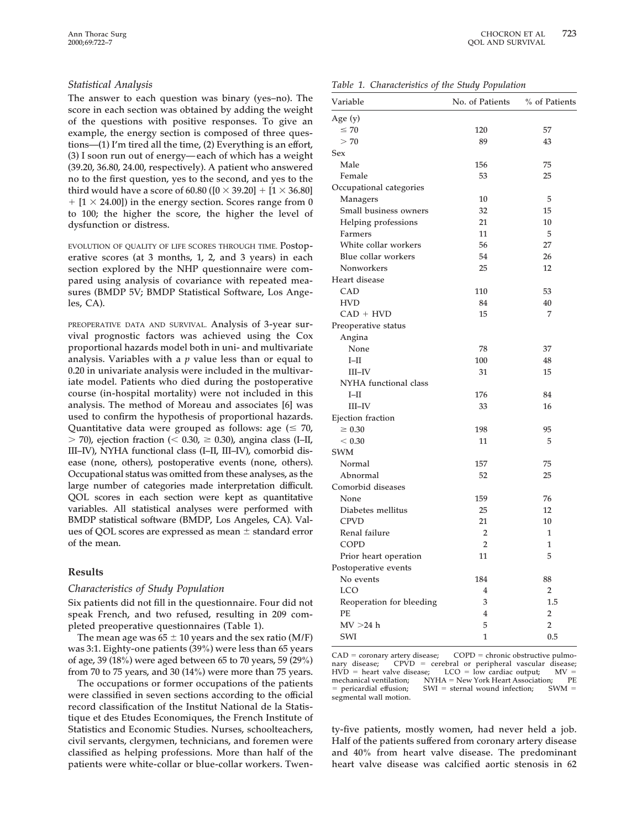## *Statistical Analysis*

**The answer to each question was binary (yes–no). The score in each section was obtained by adding the weight of the questions with positive responses. To give an example, the energy section is composed of three questions—(1) I'm tired all the time, (2) Everything is an effort, (3) I soon run out of energy—each of which has a weight (39.20, 36.80, 24.00, respectively). A patient who answered no to the first question, yes to the second, and yes to the third would have a score of 60.80 (** $[0 \times 39.20] + [1 \times 36.80]$  $+$  [1  $\times$  24.00]) in the energy section. Scores range from 0 **to 100; the higher the score, the higher the level of dysfunction or distress.**

**EVOLUTION OF QUALITY OF LIFE SCORES THROUGH TIME. Postoperative scores (at 3 months, 1, 2, and 3 years) in each section explored by the NHP questionnaire were compared using analysis of covariance with repeated measures (BMDP 5V; BMDP Statistical Software, Los Angeles, CA).**

**PREOPERATIVE DATA AND SURVIVAL. Analysis of 3-year survival prognostic factors was achieved using the Cox proportional hazards model both in uni- and multivariate analysis. Variables with a** *p* **value less than or equal to 0.20 in univariate analysis were included in the multivariate model. Patients who died during the postoperative course (in-hospital mortality) were not included in this analysis. The method of Moreau and associates [6] was used to confirm the hypothesis of proportional hazards.** Quantitative data were grouped as follows: age  $( \leq 70, 70)$  $>$  70), ejection fraction ( $<$  0.30,  $\geq$  0.30), angina class (I–II, **III–IV), NYHA functional class (I–II, III–IV), comorbid disease (none, others), postoperative events (none, others). Occupational status was omitted from these analyses, as the large number of categories made interpretation difficult. QOL scores in each section were kept as quantitative variables. All statistical analyses were performed with BMDP statistical software (BMDP, Los Angeles, CA). Val**ues of QOL scores are expressed as mean  $\pm$  standard error **of the mean.**

## **Results**

#### *Characteristics of Study Population*

**Six patients did not fill in the questionnaire. Four did not speak French, and two refused, resulting in 209 completed preoperative questionnaires (Table 1).**

The mean age was  $65 \pm 10$  years and the sex ratio (M/F) **was 3:1. Eighty-one patients (39%) were less than 65 years of age, 39 (18%) were aged between 65 to 70 years, 59 (29%) from 70 to 75 years, and 30 (14%) were more than 75 years.**

**The occupations or former occupations of the patients were classified in seven sections according to the official record classification of the Institut National de la Statistique et des Etudes Economiques, the French Institute of Statistics and Economic Studies. Nurses, schoolteachers, civil servants, clergymen, technicians, and foremen were classified as helping professions. More than half of the patients were white-collar or blue-collar workers. Twen-**

*Table 1. Characteristics of the Study Population*

| Variable                 | No. of Patients | % of Patients  |  |
|--------------------------|-----------------|----------------|--|
| Age (y)                  |                 |                |  |
| $\leq 70$                | 120             | 57             |  |
| >70                      | 89              | 43             |  |
| Sex                      |                 |                |  |
| Male                     | 156             | 75             |  |
| Female                   | 53              | 25             |  |
| Occupational categories  |                 |                |  |
| Managers                 | 10              | 5              |  |
| Small business owners    | 32              | 15             |  |
| Helping professions      | 21              | 10             |  |
| Farmers                  | 11              | 5              |  |
| White collar workers     | 56              | 27             |  |
| Blue collar workers      | 54              | 26             |  |
| Nonworkers               | 25              | 12             |  |
| Heart disease            |                 |                |  |
| CAD                      | 110             | 53             |  |
| <b>HVD</b>               | 84              | 40             |  |
| CAD + HVD                | 15              | 7              |  |
| Preoperative status      |                 |                |  |
| Angina                   |                 |                |  |
| None                     | 78              | 37             |  |
| $I-II$                   | 100             | 48             |  |
| $III$ -IV                | 31              | 15             |  |
| NYHA functional class    |                 |                |  |
| I-II                     | 176             | 84             |  |
| III-IV                   | 33              | 16             |  |
| Ejection fraction        |                 |                |  |
| $\geq 0.30$              | 198             | 95             |  |
| < 0.30                   | 11              | 5              |  |
| <b>SWM</b>               |                 |                |  |
| Normal                   | 157             | 75             |  |
| Abnormal                 | 52              | 25             |  |
| Comorbid diseases        |                 |                |  |
| None                     | 159             | 76             |  |
| Diabetes mellitus        | 25              | 12             |  |
| <b>CPVD</b>              | 21              | 10             |  |
| Renal failure            | 2               | 1              |  |
| COPD                     | $\overline{2}$  | 1              |  |
| Prior heart operation    | 11              | 5              |  |
| Postoperative events     |                 |                |  |
| No events                | 184             | 88             |  |
| <b>LCO</b>               | 4               | 2              |  |
| Reoperation for bleeding | 3               | 1.5            |  |
| PE                       | $\overline{4}$  | $\overline{2}$ |  |
| MV > 24 h                | 5               | $\overline{2}$ |  |
| SWI                      | $\mathbf{1}$    | 0.5            |  |

CAD = coronary artery disease; COPD = chronic obstructive pulmonary disease; CPVD = cerebral or peripheral vascular disease;  $HVD =$  heart valve disease; LCO = low cardiac output;  $MV =$ mechanical ventilation;  $NYHA = New York Heart Association;$  PE<br>= pericardial effusion;  $SWI =$  sternal wound infection;  $SWM =$  $SWI =$  sternal wound infection; **segmental wall motion.**

**ty-five patients, mostly women, had never held a job. Half of the patients suffered from coronary artery disease and 40% from heart valve disease. The predominant heart valve disease was calcified aortic stenosis in 62**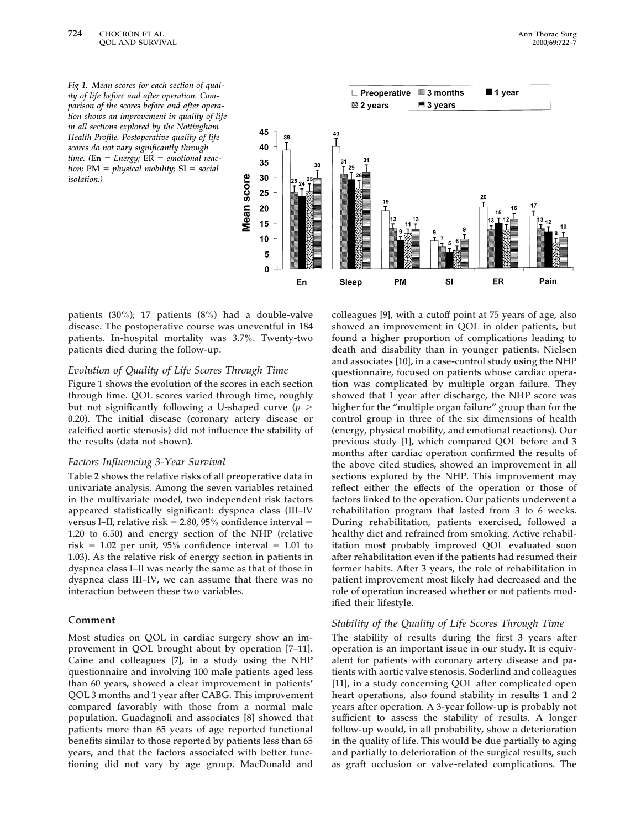*Fig 1. Mean scores for each section of quality of life before and after operation. Comparison of the scores before and after operation shows an improvement in quality of life in all sections explored by the Nottingham Health Profile. Postoperative quality of life scores do not vary significantly through*  $time.$  (En = *Energy;*  $ER$  = *emotional reaction;*  $PM = physical mobility$ ;  $SI = social$ *isolation.)*



**patients (30%); 17 patients (8%) had a double-valve disease. The postoperative course was uneventful in 184 patients. In-hospital mortality was 3.7%. Twenty-two patients died during the follow-up.**

## *Evolution of Quality of Life Scores Through Time*

**Figure 1 shows the evolution of the scores in each section through time. QOL scores varied through time, roughly** but not significantly following a U-shaped curve ( $p$  > **0.20). The initial disease (coronary artery disease or calcified aortic stenosis) did not influence the stability of the results (data not shown).**

#### *Factors Influencing 3-Year Survival*

**Table 2 shows the relative risks of all preoperative data in univariate analysis. Among the seven variables retained in the multivariate model, two independent risk factors appeared statistically significant: dyspnea class (III–IV versus I–II, relative risk** = 2.80, 95% confidence interval = **1.20 to 6.50) and energy section of the NHP (relative**  $risk = 1.02$  per unit, 95% confidence interval  $= 1.01$  to **1.03). As the relative risk of energy section in patients in dyspnea class I–II was nearly the same as that of those in dyspnea class III–IV, we can assume that there was no interaction between these two variables.**

#### **Comment**

**Most studies on QOL in cardiac surgery show an improvement in QOL brought about by operation [7–11]. Caine and colleagues [7], in a study using the NHP questionnaire and involving 100 male patients aged less than 60 years, showed a clear improvement in patients' QOL 3 months and 1 year after CABG. This improvement compared favorably with those from a normal male population. Guadagnoli and associates [8] showed that patients more than 65 years of age reported functional benefits similar to those reported by patients less than 65 years, and that the factors associated with better functioning did not vary by age group. MacDonald and**

**colleagues [9], with a cutoff point at 75 years of age, also showed an improvement in QOL in older patients, but found a higher proportion of complications leading to death and disability than in younger patients. Nielsen and associates [10], in a case-control study using the NHP questionnaire, focused on patients whose cardiac operation was complicated by multiple organ failure. They showed that 1 year after discharge, the NHP score was higher for the "multiple organ failure" group than for the control group in three of the six dimensions of health (energy, physical mobility, and emotional reactions). Our previous study [1], which compared QOL before and 3 months after cardiac operation confirmed the results of the above cited studies, showed an improvement in all sections explored by the NHP. This improvement may reflect either the effects of the operation or those of factors linked to the operation. Our patients underwent a rehabilitation program that lasted from 3 to 6 weeks. During rehabilitation, patients exercised, followed a healthy diet and refrained from smoking. Active rehabilitation most probably improved QOL evaluated soon after rehabilitation even if the patients had resumed their former habits. After 3 years, the role of rehabilitation in patient improvement most likely had decreased and the role of operation increased whether or not patients modified their lifestyle.**

## *Stability of the Quality of Life Scores Through Time*

**The stability of results during the first 3 years after operation is an important issue in our study. It is equivalent for patients with coronary artery disease and patients with aortic valve stenosis. Soderlind and colleagues [11], in a study concerning QOL after complicated open heart operations, also found stability in results 1 and 2 years after operation. A 3-year follow-up is probably not sufficient to assess the stability of results. A longer follow-up would, in all probability, show a deterioration in the quality of life. This would be due partially to aging and partially to deterioration of the surgical results, such as graft occlusion or valve-related complications. The**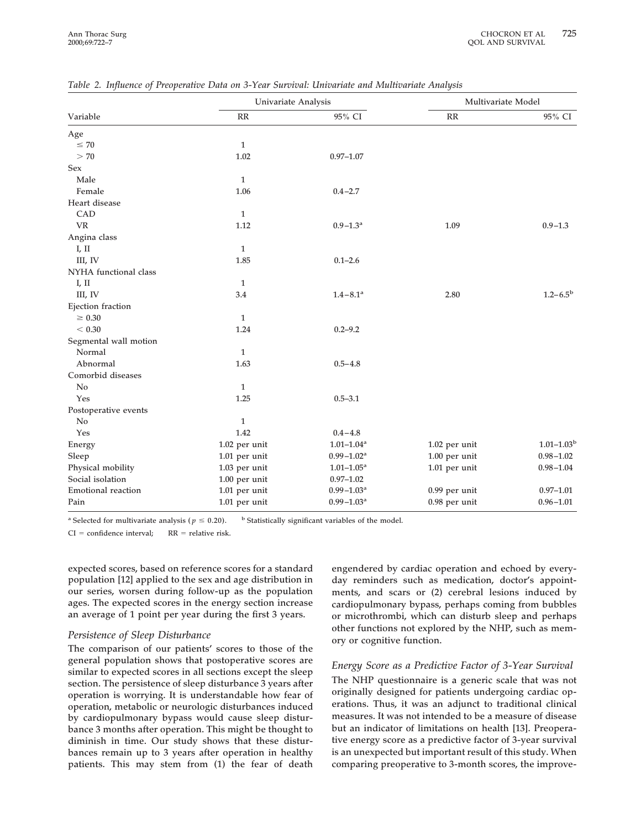|                           | Univariate Analysis |                            | Multivariate Model |                       |
|---------------------------|---------------------|----------------------------|--------------------|-----------------------|
| Variable                  | RR                  | 95% CI                     | RR                 | 95% CI                |
| Age                       |                     |                            |                    |                       |
| $\leq 70$                 | $\mathbf{1}$        |                            |                    |                       |
| > 70                      | 1.02                | $0.97 - 1.07$              |                    |                       |
| Sex                       |                     |                            |                    |                       |
| Male                      | $\mathbf{1}$        |                            |                    |                       |
| Female                    | 1.06                | $0.4 - 2.7$                |                    |                       |
| Heart disease             |                     |                            |                    |                       |
| CAD                       | $\mathbf{1}$        |                            |                    |                       |
| <b>VR</b>                 | 1.12                | $0.9 - 1.3$ <sup>a</sup>   | 1.09               | $0.9 - 1.3$           |
| Angina class              |                     |                            |                    |                       |
| I, II                     | $\mathbf{1}$        |                            |                    |                       |
| III, IV                   | 1.85                | $0.1 - 2.6$                |                    |                       |
| NYHA functional class     |                     |                            |                    |                       |
| I, II                     | 1                   |                            |                    |                       |
| III, IV                   | 3.4                 | $1.4 - 8.1$ <sup>a</sup>   | 2.80               | $1.2 - 6.5^{\rm b}$   |
| Ejection fraction         |                     |                            |                    |                       |
| $\geq 0.30$               | $\mathbf{1}$        |                            |                    |                       |
| < 0.30                    | 1.24                | $0.2 - 9.2$                |                    |                       |
| Segmental wall motion     |                     |                            |                    |                       |
| Normal                    | $\mathbf{1}$        |                            |                    |                       |
| Abnormal                  | 1.63                | $0.5 - 4.8$                |                    |                       |
| Comorbid diseases         |                     |                            |                    |                       |
| No                        | $\mathbf{1}$        |                            |                    |                       |
| Yes                       | 1.25                | $0.5 - 3.1$                |                    |                       |
| Postoperative events      |                     |                            |                    |                       |
| N <sub>o</sub>            | $\mathbf{1}$        |                            |                    |                       |
| Yes                       | 1.42                | $0.4 - 4.8$                |                    |                       |
| Energy                    | 1.02 per unit       | $1.01 - 1.04$ <sup>a</sup> | 1.02 per unit      | $1.01 - 1.03^{\rm b}$ |
| Sleep                     | 1.01 per unit       | $0.99 - 1.02^a$            | 1.00 per unit      | $0.98 - 1.02$         |
| Physical mobility         | 1.03 per unit       | $1.01 - 1.05$ <sup>a</sup> | 1.01 per unit      | $0.98 - 1.04$         |
| Social isolation          | 1.00 per unit       | $0.97 - 1.02$              |                    |                       |
| <b>Emotional reaction</b> | 1.01 per unit       | $0.99 - 1.03$ <sup>a</sup> | 0.99 per unit      | $0.97 - 1.01$         |
| Pain                      | 1.01 per unit       | $0.99 - 1.03$ <sup>a</sup> | 0.98 per unit      | $0.96 - 1.01$         |

*Table 2. Influence of Preoperative Data on 3-Year Survival: Univariate and Multivariate Analysis*

<sup>a</sup> **Selected for multivariate analysis (** $p \le 0.20$ **). <b>b Statistically significant variables of the model.** 

 $CI = confidence interval;$   $RR = relative risk.$ 

**expected scores, based on reference scores for a standard population [12] applied to the sex and age distribution in our series, worsen during follow-up as the population ages. The expected scores in the energy section increase an average of 1 point per year during the first 3 years.**

#### *Persistence of Sleep Disturbance*

**The comparison of our patients' scores to those of the general population shows that postoperative scores are similar to expected scores in all sections except the sleep section. The persistence of sleep disturbance 3 years after operation is worrying. It is understandable how fear of operation, metabolic or neurologic disturbances induced by cardiopulmonary bypass would cause sleep disturbance 3 months after operation. This might be thought to diminish in time. Our study shows that these disturbances remain up to 3 years after operation in healthy patients. This may stem from (1) the fear of death**

**engendered by cardiac operation and echoed by everyday reminders such as medication, doctor's appointments, and scars or (2) cerebral lesions induced by cardiopulmonary bypass, perhaps coming from bubbles or microthrombi, which can disturb sleep and perhaps other functions not explored by the NHP, such as memory or cognitive function.**

## *Energy Score as a Predictive Factor of 3-Year Survival*

**The NHP questionnaire is a generic scale that was not originally designed for patients undergoing cardiac operations. Thus, it was an adjunct to traditional clinical measures. It was not intended to be a measure of disease but an indicator of limitations on health [13]. Preoperative energy score as a predictive factor of 3-year survival is an unexpected but important result of this study. When comparing preoperative to 3-month scores, the improve-**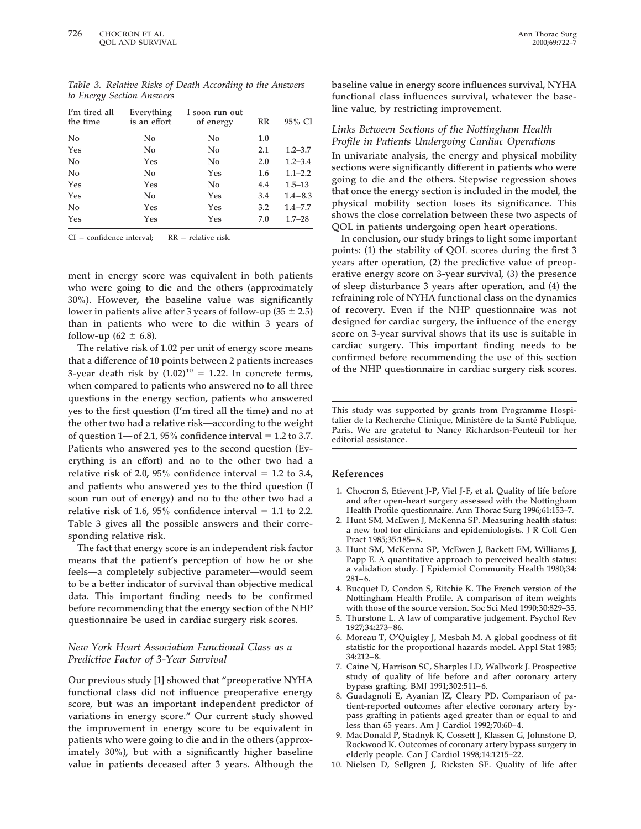*Table 3. Relative Risks of Death According to the Answers to Energy Section Answers*

| I'm tired all<br>the time | Everything<br>is an effort | I soon run out<br>of energy | RR  | 95% CI      |
|---------------------------|----------------------------|-----------------------------|-----|-------------|
| No                        | No                         | No                          | 1.0 |             |
| Yes                       | No                         | No                          | 2.1 | $1.2 - 3.7$ |
| No                        | Yes                        | No                          | 2.0 | $1.2 - 3.4$ |
| No                        | No                         | Yes                         | 1.6 | $1.1 - 2.2$ |
| Yes                       | Yes                        | No                          | 4.4 | $1.5 - 13$  |
| Yes                       | No                         | Yes                         | 3.4 | $1.4 - 8.3$ |
| No                        | Yes                        | Yes                         | 3.2 | $1.4 - 7.7$ |
| Yes                       | Yes                        | Yes                         | 7.0 | $1.7 - 28$  |

 $CI = confidence interval;$   $RR = relative risk.$ 

**ment in energy score was equivalent in both patients who were going to die and the others (approximately 30%). However, the baseline value was significantly** lower in patients alive after 3 years of follow-up  $(35 \pm 2.5)$ **than in patients who were to die within 3 years of follow-up** (62  $\pm$  6.8).

**The relative risk of 1.02 per unit of energy score means that a difference of 10 points between 2 patients increases** 3-year death risk by  $(1.02)^{10} = 1.22$ . In concrete terms, **when compared to patients who answered no to all three questions in the energy section, patients who answered yes to the first question (I'm tired all the time) and no at the other two had a relative risk—according to the weight** of question  $1$ —of 2.1, 95% confidence interval = 1.2 to 3.7. **Patients who answered yes to the second question (Everything is an effort) and no to the other two had a** relative risk of 2.0,  $95\%$  confidence interval = 1.2 to 3.4, **and patients who answered yes to the third question (I soon run out of energy) and no to the other two had a** relative risk of 1.6,  $95\%$  confidence interval = 1.1 to 2.2. **Table 3 gives all the possible answers and their corresponding relative risk.**

**The fact that energy score is an independent risk factor means that the patient's perception of how he or she feels—a completely subjective parameter—would seem to be a better indicator of survival than objective medical data. This important finding needs to be confirmed before recommending that the energy section of the NHP questionnaire be used in cardiac surgery risk scores.**

## *New York Heart Association Functional Class as a Predictive Factor of 3-Year Survival*

**Our previous study [1] showed that "preoperative NYHA functional class did not influence preoperative energy score, but was an important independent predictor of variations in energy score." Our current study showed the improvement in energy score to be equivalent in patients who were going to die and in the others (approximately 30%), but with a significantly higher baseline value in patients deceased after 3 years. Although the**

**baseline value in energy score influences survival, NYHA functional class influences survival, whatever the baseline value, by restricting improvement.**

## *Links Between Sections of the Nottingham Health Profile in Patients Undergoing Cardiac Operations*

**In univariate analysis, the energy and physical mobility sections were significantly different in patients who were going to die and the others. Stepwise regression shows that once the energy section is included in the model, the physical mobility section loses its significance. This shows the close correlation between these two aspects of QOL in patients undergoing open heart operations.**

**In conclusion, our study brings to light some important points: (1) the stability of QOL scores during the first 3 years after operation, (2) the predictive value of preoperative energy score on 3-year survival, (3) the presence of sleep disturbance 3 years after operation, and (4) the refraining role of NYHA functional class on the dynamics of recovery. Even if the NHP questionnaire was not designed for cardiac surgery, the influence of the energy score on 3-year survival shows that its use is suitable in cardiac surgery. This important finding needs to be confirmed before recommending the use of this section of the NHP questionnaire in cardiac surgery risk scores.**

**This study was supported by grants from Programme Hospi**talier de la Recherche Clinique, Ministère de la Santé Publique, **Paris. We are grateful to Nancy Richardson-Peuteuil for her editorial assistance.**

#### **References**

- **1. Chocron S, Etievent J-P, Viel J-F, et al. Quality of life before and after open-heart surgery assessed with the Nottingham Health Profile questionnaire. Ann Thorac Surg 1996;61:153–7.**
- **2. Hunt SM, McEwen J, McKenna SP. Measuring health status: a new tool for clinicians and epidemiologists. J R Coll Gen Pract 1985;35:185–8.**
- **3. Hunt SM, McKenna SP, McEwen J, Backett EM, Williams J, Papp E. A quantitative approach to perceived health status: a validation study. J Epidemiol Community Health 1980;34: 281–6.**
- **4. Bucquet D, Condon S, Ritchie K. The French version of the Nottingham Health Profile. A comparison of item weights with those of the source version. Soc Sci Med 1990;30:829–35.**
- **5. Thurstone L. A law of comparative judgement. Psychol Rev 1927;34:273–86.**
- **6. Moreau T, O'Quigley J, Mesbah M. A global goodness of fit statistic for the proportional hazards model. Appl Stat 1985; 34:212–8.**
- **7. Caine N, Harrison SC, Sharples LD, Wallwork J. Prospective study of quality of life before and after coronary artery bypass grafting. BMJ 1991;302:511–6.**
- Guadagnoli E, Ayanian JZ, Cleary PD. Comparison of pa**tient-reported outcomes after elective coronary artery bypass grafting in patients aged greater than or equal to and less than 65 years. Am J Cardiol 1992;70:60–4.**
- **9. MacDonald P, Stadnyk K, Cossett J, Klassen G, Johnstone D, Rockwood K. Outcomes of coronary artery bypass surgery in elderly people. Can J Cardiol 1998;14:1215–22.**
- **10. Nielsen D, Sellgren J, Ricksten SE. Quality of life after**